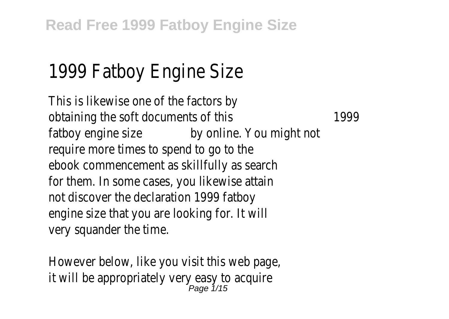## 1999 Fatboy Engine Size

This is likewise one of the factors by obtaining the soft documents of this 1999 fatboy engine size by online. You might not require more times to spend to go to the ebook commencement as skillfully as search for them. In some cases, you likewise attain not discover the declaration 1999 fatboy engine size that you are looking for. It will very squander the time.

However below, like you visit this web page, it will be appropriately very easy to acquire Page 1/15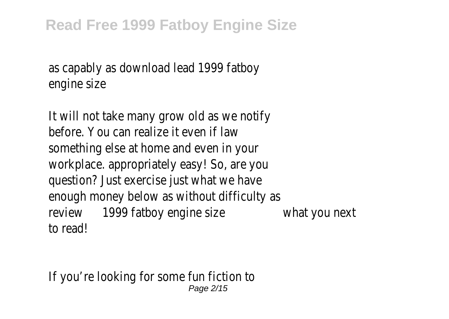as capably as download lead 1999 fatboy engine size

It will not take many grow old as we notify before. You can realize it even if law something else at home and even in your workplace. appropriately easy! So, are you question? Just exercise just what we have enough money below as without difficulty as review 1999 fatboy engine size what you next to read!

If you're looking for some fun fiction to Page 2/15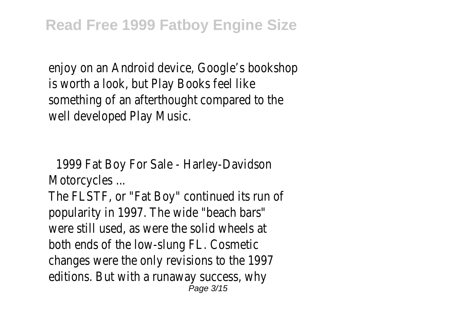enjoy on an Android device, Google's bookshop is worth a look, but Play Books feel like something of an afterthought compared to the well developed Play Music.

1999 Fat Boy For Sale - Harley-Davidson Motorcycles ...

The FLSTF, or "Fat Boy" continued its run of popularity in 1997. The wide "beach bars" were still used, as were the solid wheels at both ends of the low-slung FL. Cosmetic changes were the only revisions to the 1997 editions. But with a runaway success, why Page 3/15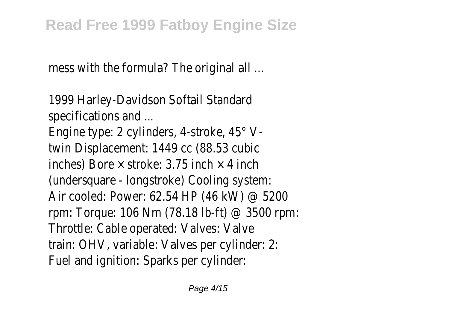mess with the formula? The original all ...

1999 Harley-Davidson Softail Standard specifications and ...

Engine type: 2 cylinders, 4-stroke, 45° Vtwin Displacement: 1449 cc (88.53 cubic inches) Bore  $\times$  stroke: 3.75 inch  $\times$  4 inch (undersquare - longstroke) Cooling system: Air cooled: Power: 62.54 HP (46 kW) @ 5200 rpm: Torque: 106 Nm (78.18 lb-ft) @ 3500 rpm: Throttle: Cable operated: Valves: Valve train: OHV, variable: Valves per cylinder: 2: Fuel and ignition: Sparks per cylinder: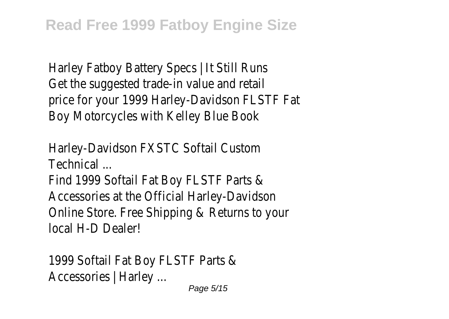Harley Fatboy Battery Specs | It Still Runs Get the suggested trade-in value and retail price for your 1999 Harley-Davidson FLSTF Fat Boy Motorcycles with Kelley Blue Book

Harley-Davidson FXSTC Softail Custom Technical ...

Find 1999 Softail Fat Boy FLSTF Parts & Accessories at the Official Harley-Davidson Online Store. Free Shipping & Returns to your local H-D Dealer!

1999 Softail Fat Boy FLSTF Parts & Accessories | Harley ... Page 5/15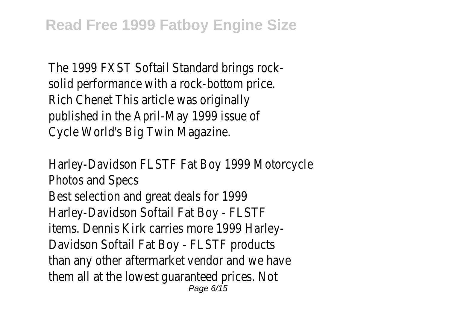The 1999 FXST Softail Standard brings rocksolid performance with a rock-bottom price. Rich Chenet This article was originally published in the April-May 1999 issue of Cycle World's Big Twin Magazine.

Harley-Davidson FLSTF Fat Boy 1999 Motorcycle Photos and Specs Best selection and great deals for 1999 Harley-Davidson Softail Fat Boy - FLSTF items. Dennis Kirk carries more 1999 Harley-Davidson Softail Fat Boy - FLSTF products than any other aftermarket vendor and we have them all at the lowest guaranteed prices. Not Page 6/15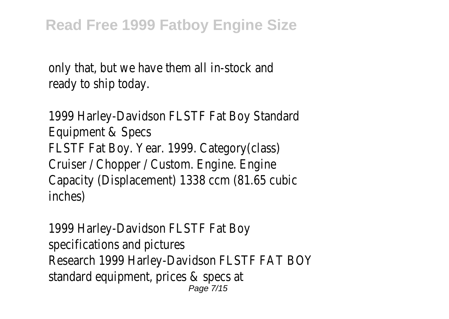only that, but we have them all in-stock and ready to ship today.

1999 Harley-Davidson FLSTF Fat Boy Standard Equipment & Specs FLSTF Fat Boy. Year. 1999. Category(class) Cruiser / Chopper / Custom. Engine. Engine Capacity (Displacement) 1338 ccm (81.65 cubic inches)

1999 Harley-Davidson FLSTF Fat Boy specifications and pictures Research 1999 Harley-Davidson FLSTF FAT BOY standard equipment, prices & specs at Page 7/15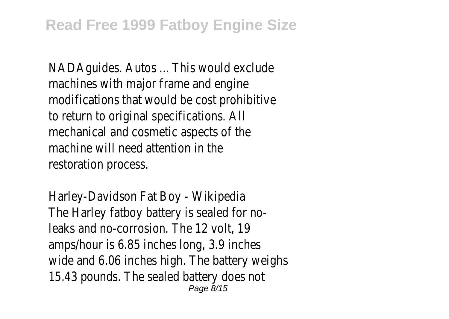NADAguides. Autos ... This would exclude machines with major frame and engine modifications that would be cost prohibitive to return to original specifications. All mechanical and cosmetic aspects of the machine will need attention in the restoration process.

Harley-Davidson Fat Boy - Wikipedia The Harley fatboy battery is sealed for noleaks and no-corrosion. The 12 volt, 19 amps/hour is 6.85 inches long, 3.9 inches wide and 6.06 inches high. The battery weighs 15.43 pounds. The sealed battery does not Page 8/15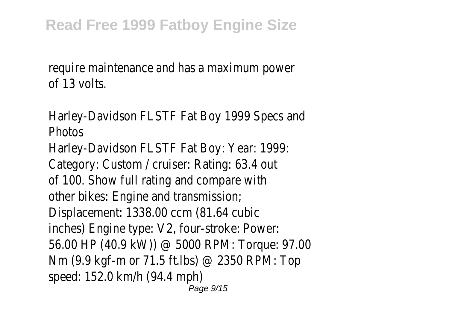require maintenance and has a maximum power of 13 volts.

Harley-Davidson FLSTF Fat Boy 1999 Specs and **Photos** Harley-Davidson FLSTF Fat Boy: Year: 1999: Category: Custom / cruiser: Rating: 63.4 out of 100. Show full rating and compare with other bikes: Engine and transmission; Displacement: 1338.00 ccm (81.64 cubic inches) Engine type: V2, four-stroke: Power: 56.00 HP (40.9 kW)) @ 5000 RPM: Torque: 97.00 Nm (9.9 kgf-m or 71.5 ft.lbs) @ 2350 RPM: Top speed: 152.0 km/h (94.4 mph) Page 9/15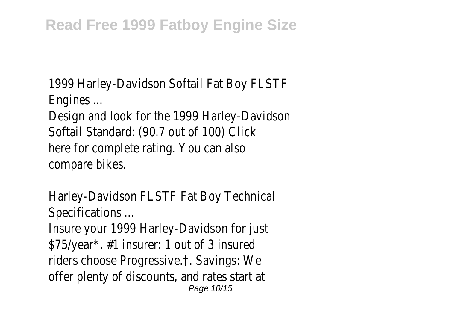1999 Harley-Davidson Softail Fat Boy FLSTF Engines ...

Design and look for the 1999 Harley-Davidson Softail Standard: (90.7 out of 100) Click here for complete rating. You can also compare bikes.

Harley-Davidson FLSTF Fat Boy Technical Specifications ...

Insure your 1999 Harley-Davidson for just \$75/year\*. #1 insurer: 1 out of 3 insured riders choose Progressive.†. Savings: We offer plenty of discounts, and rates start at Page 10/15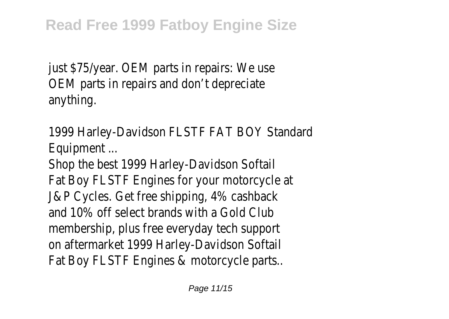just \$75/year. OEM parts in repairs: We use OEM parts in repairs and don't depreciate anything.

1999 Harley-Davidson FLSTF FAT BOY Standard Equipment ...

Shop the best 1999 Harley-Davidson Softail Fat Boy FLSTF Engines for your motorcycle at J&P Cycles. Get free shipping, 4% cashback and 10% off select brands with a Gold Club membership, plus free everyday tech support on aftermarket 1999 Harley-Davidson Softail Fat Boy FLSTF Engines & motorcycle parts..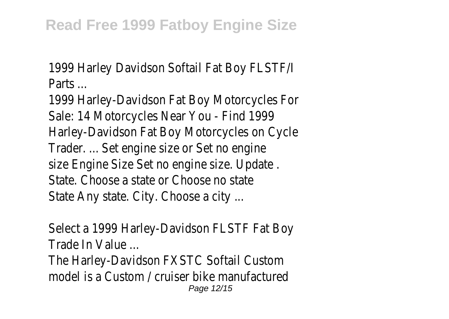1999 Harley Davidson Softail Fat Boy FLSTF/I Parts ...

1999 Harley-Davidson Fat Boy Motorcycles For Sale: 14 Motorcycles Near You - Find 1999 Harley-Davidson Fat Boy Motorcycles on Cycle Trader. ... Set engine size or Set no engine size Engine Size Set no engine size. Update . State. Choose a state or Choose no state State Any state. City. Choose a city ...

Select a 1999 Harley-Davidson FLSTF Fat Boy Trade In Value ...

The Harley-Davidson FXSTC Softail Custom model is a Custom / cruiser bike manufactured Page 12/15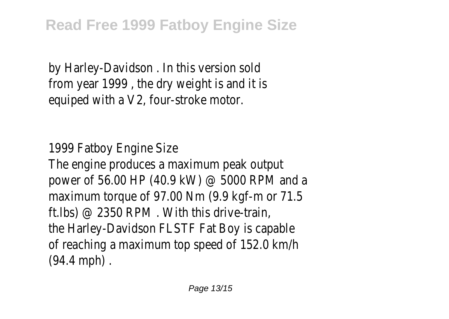by Harley-Davidson . In this version sold from year 1999 , the dry weight is and it is equiped with a V2, four-stroke motor.

1999 Fatboy Engine Size The engine produces a maximum peak output power of 56.00 HP (40.9 kW) @ 5000 RPM and a maximum torque of 97.00 Nm (9.9 kgf-m or 71.5 ft.lbs) @ 2350 RPM . With this drive-train, the Harley-Davidson FLSTF Fat Boy is capable of reaching a maximum top speed of 152.0 km/h (94.4 mph) .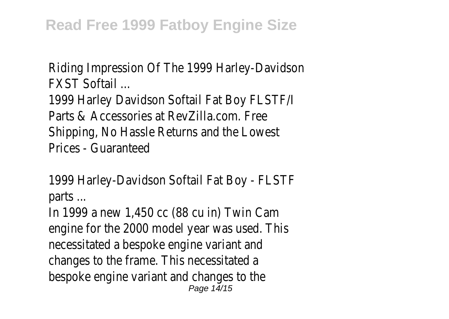Riding Impression Of The 1999 Harley-Davidson FXST Softail ...

1999 Harley Davidson Softail Fat Boy FLSTF/I Parts & Accessories at RevZilla.com. Free Shipping, No Hassle Returns and the Lowest Prices - Guaranteed

1999 Harley-Davidson Softail Fat Boy - FLSTF parts ...

In 1999 a new 1,450 cc (88 cu in) Twin Cam engine for the 2000 model year was used. This necessitated a bespoke engine variant and changes to the frame. This necessitated a bespoke engine variant and changes to the Page 14/15